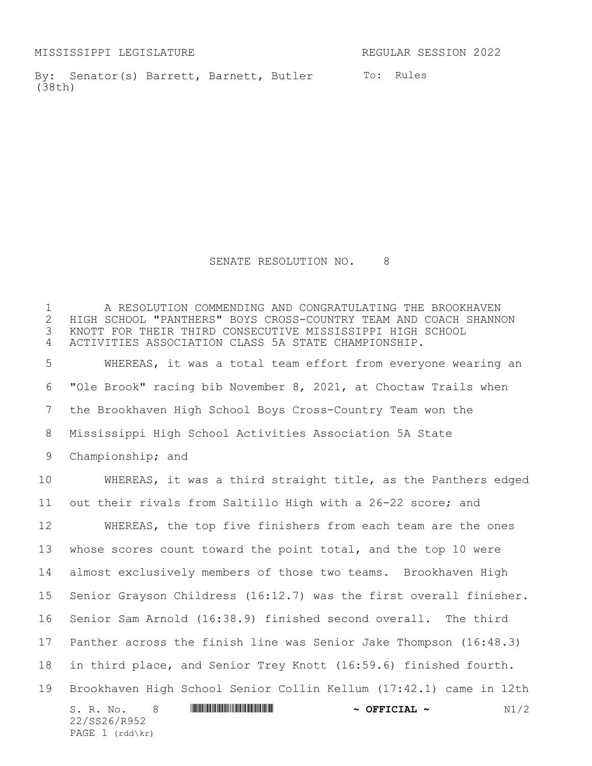MISSISSIPPI LEGISLATURE REGULAR SESSION 2022

By: Senator(s) Barrett, Barnett, Butler To: Rules (38th)

SENATE RESOLUTION NO. 8

 A RESOLUTION COMMENDING AND CONGRATULATING THE BROOKHAVEN 2 HIGH SCHOOL "PANTHERS" BOYS CROSS-COUNTRY TEAM AND COACH SHANNON<br>3 KNOTT FOR THEIR THIRD CONSECUTIVE MISSISSIPPI HIGH SCHOOL KNOTT FOR THEIR THIRD CONSECUTIVE MISSISSIPPI HIGH SCHOOL ACTIVITIES ASSOCIATION CLASS 5A STATE CHAMPIONSHIP.

 WHEREAS, it was a total team effort from everyone wearing an "Ole Brook" racing bib November 8, 2021, at Choctaw Trails when the Brookhaven High School Boys Cross-Country Team won the Mississippi High School Activities Association 5A State Championship; and

S. R. No. 8 \*SS26/R952\* **~ OFFICIAL ~** N1/2 22/SS26/R952 PAGE 1 (rdd\kr) WHEREAS, it was a third straight title, as the Panthers edged out their rivals from Saltillo High with a 26-22 score; and WHEREAS, the top five finishers from each team are the ones whose scores count toward the point total, and the top 10 were almost exclusively members of those two teams. Brookhaven High Senior Grayson Childress (16:12.7) was the first overall finisher. Senior Sam Arnold (16:38.9) finished second overall. The third Panther across the finish line was Senior Jake Thompson (16:48.3) in third place, and Senior Trey Knott (16:59.6) finished fourth. Brookhaven High School Senior Collin Kellum (17:42.1) came in 12th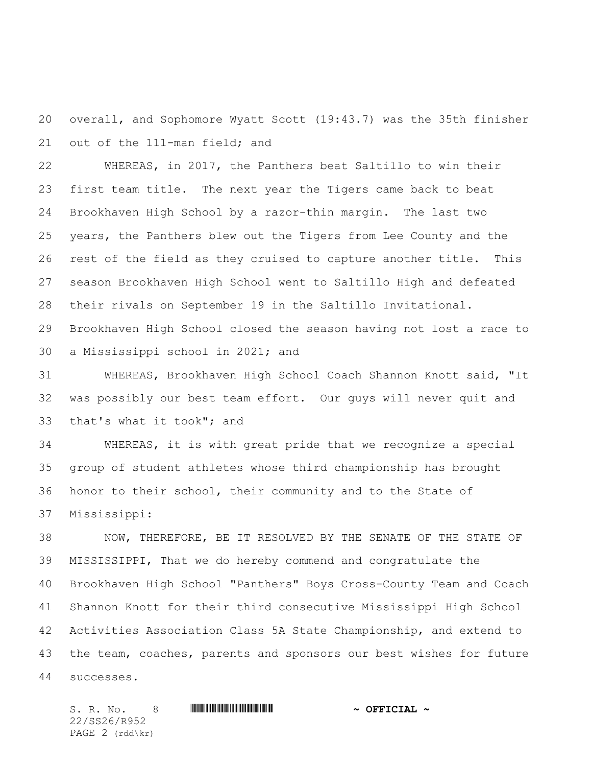overall, and Sophomore Wyatt Scott (19:43.7) was the 35th finisher out of the 111-man field; and

 WHEREAS, in 2017, the Panthers beat Saltillo to win their first team title. The next year the Tigers came back to beat Brookhaven High School by a razor-thin margin. The last two years, the Panthers blew out the Tigers from Lee County and the rest of the field as they cruised to capture another title. This season Brookhaven High School went to Saltillo High and defeated their rivals on September 19 in the Saltillo Invitational. Brookhaven High School closed the season having not lost a race to a Mississippi school in 2021; and

 WHEREAS, Brookhaven High School Coach Shannon Knott said, "It was possibly our best team effort. Our guys will never quit and that's what it took"; and

 WHEREAS, it is with great pride that we recognize a special group of student athletes whose third championship has brought honor to their school, their community and to the State of Mississippi:

 NOW, THEREFORE, BE IT RESOLVED BY THE SENATE OF THE STATE OF MISSISSIPPI, That we do hereby commend and congratulate the Brookhaven High School "Panthers" Boys Cross-County Team and Coach Shannon Knott for their third consecutive Mississippi High School Activities Association Class 5A State Championship, and extend to 43 the team, coaches, parents and sponsors our best wishes for future successes.

S. R. No. 8 \*SS26/R952\* **~ OFFICIAL ~** 22/SS26/R952 PAGE  $2 \text{ (rdd\kr)}$